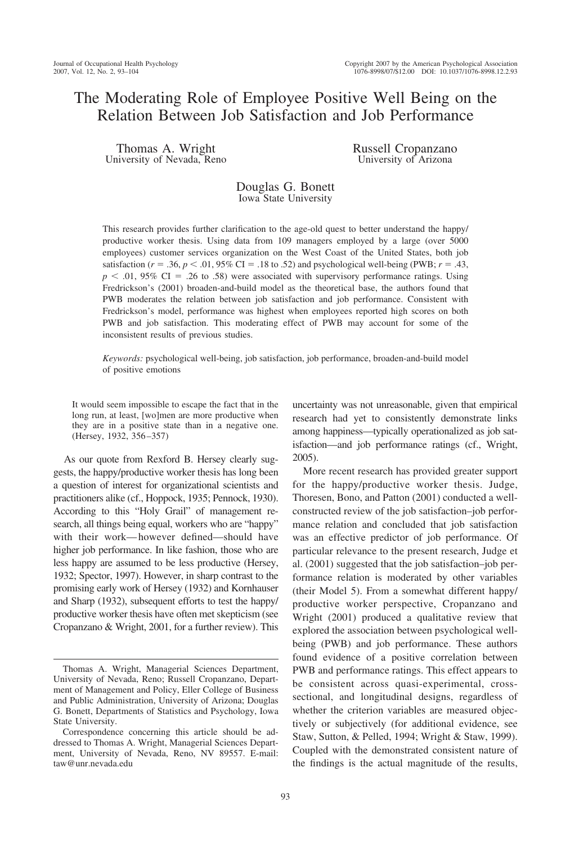# The Moderating Role of Employee Positive Well Being on the Relation Between Job Satisfaction and Job Performance

Thomas A. Wright University of Nevada, Reno Russell Cropanzano University of Arizona

## Douglas G. Bonett Iowa State University

This research provides further clarification to the age-old quest to better understand the happy/ productive worker thesis. Using data from 109 managers employed by a large (over 5000 employees) customer services organization on the West Coast of the United States, both job satisfaction ( $r = .36$ ,  $p < .01$ , 95% CI = .18 to .52) and psychological well-being (PWB;  $r = .43$ ,  $p < .01, 95\%$  CI = .26 to .58) were associated with supervisory performance ratings. Using Fredrickson's (2001) broaden-and-build model as the theoretical base, the authors found that PWB moderates the relation between job satisfaction and job performance. Consistent with Fredrickson's model, performance was highest when employees reported high scores on both PWB and job satisfaction. This moderating effect of PWB may account for some of the inconsistent results of previous studies.

*Keywords:* psychological well-being, job satisfaction, job performance, broaden-and-build model of positive emotions

It would seem impossible to escape the fact that in the long run, at least, [wo]men are more productive when they are in a positive state than in a negative one. (Hersey, 1932, 356 –357)

As our quote from Rexford B. Hersey clearly suggests, the happy/productive worker thesis has long been a question of interest for organizational scientists and practitioners alike (cf., Hoppock, 1935; Pennock, 1930). According to this "Holy Grail" of management research, all things being equal, workers who are "happy" with their work— however defined—should have higher job performance. In like fashion, those who are less happy are assumed to be less productive (Hersey, 1932; Spector, 1997). However, in sharp contrast to the promising early work of Hersey (1932) and Kornhauser and Sharp (1932), subsequent efforts to test the happy/ productive worker thesis have often met skepticism (see Cropanzano & Wright, 2001, for a further review). This

uncertainty was not unreasonable, given that empirical research had yet to consistently demonstrate links among happiness—typically operationalized as job satisfaction—and job performance ratings (cf., Wright, 2005).

More recent research has provided greater support for the happy/productive worker thesis. Judge, Thoresen, Bono, and Patton (2001) conducted a wellconstructed review of the job satisfaction–job performance relation and concluded that job satisfaction was an effective predictor of job performance. Of particular relevance to the present research, Judge et al. (2001) suggested that the job satisfaction–job performance relation is moderated by other variables (their Model 5). From a somewhat different happy/ productive worker perspective, Cropanzano and Wright (2001) produced a qualitative review that explored the association between psychological wellbeing (PWB) and job performance. These authors found evidence of a positive correlation between PWB and performance ratings. This effect appears to be consistent across quasi-experimental, crosssectional, and longitudinal designs, regardless of whether the criterion variables are measured objectively or subjectively (for additional evidence, see Staw, Sutton, & Pelled, 1994; Wright & Staw, 1999). Coupled with the demonstrated consistent nature of the findings is the actual magnitude of the results,

Thomas A. Wright, Managerial Sciences Department, University of Nevada, Reno; Russell Cropanzano, Department of Management and Policy, Eller College of Business and Public Administration, University of Arizona; Douglas G. Bonett, Departments of Statistics and Psychology, Iowa State University.

Correspondence concerning this article should be addressed to Thomas A. Wright, Managerial Sciences Department, University of Nevada, Reno, NV 89557. E-mail: taw@unr.nevada.edu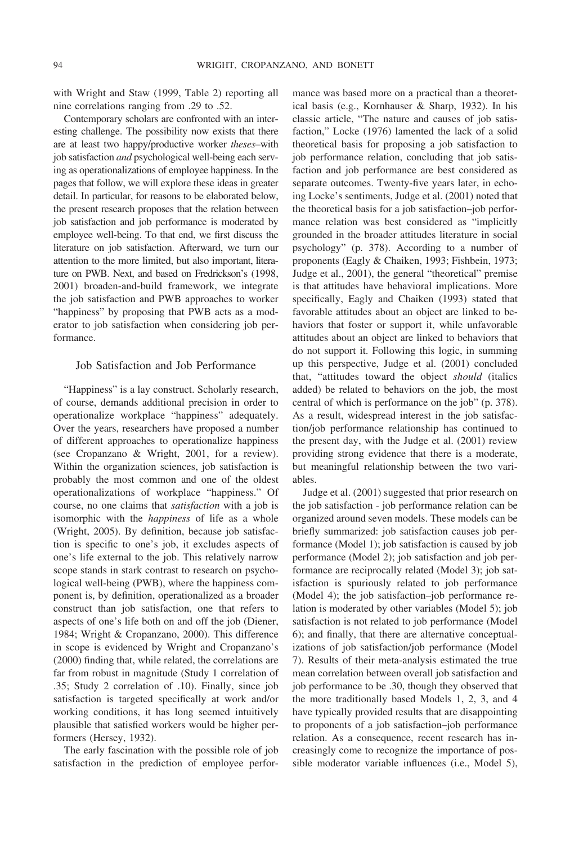with Wright and Staw (1999, Table 2) reporting all nine correlations ranging from .29 to .52.

Contemporary scholars are confronted with an interesting challenge. The possibility now exists that there are at least two happy/productive worker *theses–*with job satisfaction *and* psychological well-being each serving as operationalizations of employee happiness. In the pages that follow, we will explore these ideas in greater detail. In particular, for reasons to be elaborated below, the present research proposes that the relation between job satisfaction and job performance is moderated by employee well-being. To that end, we first discuss the literature on job satisfaction. Afterward, we turn our attention to the more limited, but also important, literature on PWB. Next, and based on Fredrickson's (1998, 2001) broaden-and-build framework, we integrate the job satisfaction and PWB approaches to worker "happiness" by proposing that PWB acts as a moderator to job satisfaction when considering job performance.

## Job Satisfaction and Job Performance

"Happiness" is a lay construct. Scholarly research, of course, demands additional precision in order to operationalize workplace "happiness" adequately. Over the years, researchers have proposed a number of different approaches to operationalize happiness (see Cropanzano & Wright, 2001, for a review). Within the organization sciences, job satisfaction is probably the most common and one of the oldest operationalizations of workplace "happiness." Of course, no one claims that *satisfaction* with a job is isomorphic with the *happiness* of life as a whole (Wright, 2005). By definition, because job satisfaction is specific to one's job, it excludes aspects of one's life external to the job. This relatively narrow scope stands in stark contrast to research on psychological well-being (PWB), where the happiness component is, by definition, operationalized as a broader construct than job satisfaction, one that refers to aspects of one's life both on and off the job (Diener, 1984; Wright & Cropanzano, 2000). This difference in scope is evidenced by Wright and Cropanzano's (2000) finding that, while related, the correlations are far from robust in magnitude (Study 1 correlation of .35; Study 2 correlation of .10). Finally, since job satisfaction is targeted specifically at work and/or working conditions, it has long seemed intuitively plausible that satisfied workers would be higher performers (Hersey, 1932).

The early fascination with the possible role of job satisfaction in the prediction of employee performance was based more on a practical than a theoretical basis (e.g., Kornhauser & Sharp, 1932). In his classic article, "The nature and causes of job satisfaction," Locke (1976) lamented the lack of a solid theoretical basis for proposing a job satisfaction to job performance relation, concluding that job satisfaction and job performance are best considered as separate outcomes. Twenty-five years later, in echoing Locke's sentiments, Judge et al. (2001) noted that the theoretical basis for a job satisfaction–job performance relation was best considered as "implicitly grounded in the broader attitudes literature in social psychology" (p. 378). According to a number of proponents (Eagly & Chaiken, 1993; Fishbein, 1973; Judge et al., 2001), the general "theoretical" premise is that attitudes have behavioral implications. More specifically, Eagly and Chaiken (1993) stated that favorable attitudes about an object are linked to behaviors that foster or support it, while unfavorable attitudes about an object are linked to behaviors that do not support it. Following this logic, in summing up this perspective, Judge et al. (2001) concluded that, "attitudes toward the object *should* (italics added) be related to behaviors on the job, the most central of which is performance on the job" (p. 378). As a result, widespread interest in the job satisfaction/job performance relationship has continued to the present day, with the Judge et al. (2001) review providing strong evidence that there is a moderate, but meaningful relationship between the two variables.

Judge et al. (2001) suggested that prior research on the job satisfaction - job performance relation can be organized around seven models. These models can be briefly summarized: job satisfaction causes job performance (Model 1); job satisfaction is caused by job performance (Model 2); job satisfaction and job performance are reciprocally related (Model 3); job satisfaction is spuriously related to job performance (Model 4); the job satisfaction–job performance relation is moderated by other variables (Model 5); job satisfaction is not related to job performance (Model 6); and finally, that there are alternative conceptualizations of job satisfaction/job performance (Model 7). Results of their meta-analysis estimated the true mean correlation between overall job satisfaction and job performance to be .30, though they observed that the more traditionally based Models 1, 2, 3, and 4 have typically provided results that are disappointing to proponents of a job satisfaction–job performance relation. As a consequence, recent research has increasingly come to recognize the importance of possible moderator variable influences (i.e., Model 5),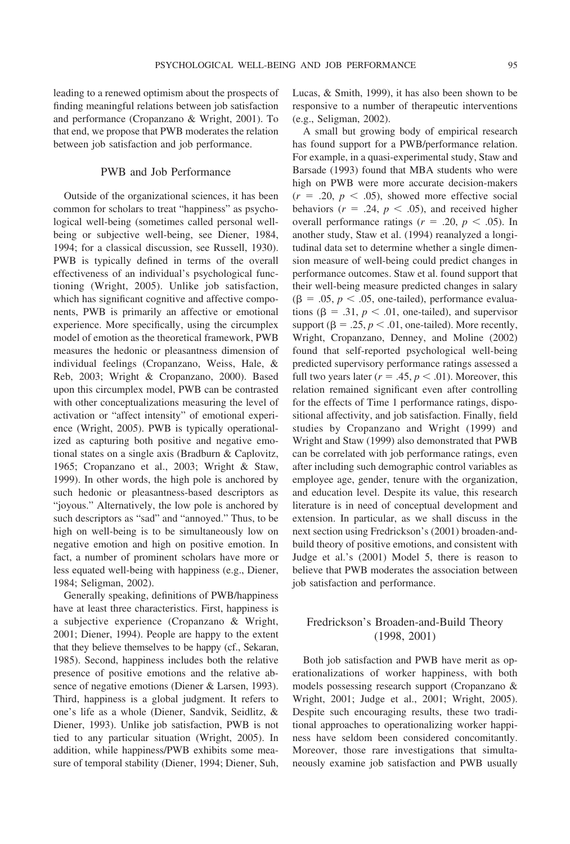leading to a renewed optimism about the prospects of finding meaningful relations between job satisfaction and performance (Cropanzano & Wright, 2001). To that end, we propose that PWB moderates the relation between job satisfaction and job performance.

## PWB and Job Performance

Outside of the organizational sciences, it has been common for scholars to treat "happiness" as psychological well-being (sometimes called personal wellbeing or subjective well-being, see Diener, 1984, 1994; for a classical discussion, see Russell, 1930). PWB is typically defined in terms of the overall effectiveness of an individual's psychological functioning (Wright, 2005). Unlike job satisfaction, which has significant cognitive and affective components, PWB is primarily an affective or emotional experience. More specifically, using the circumplex model of emotion as the theoretical framework, PWB measures the hedonic or pleasantness dimension of individual feelings (Cropanzano, Weiss, Hale, & Reb, 2003; Wright & Cropanzano, 2000). Based upon this circumplex model, PWB can be contrasted with other conceptualizations measuring the level of activation or "affect intensity" of emotional experience (Wright, 2005). PWB is typically operationalized as capturing both positive and negative emotional states on a single axis (Bradburn & Caplovitz, 1965; Cropanzano et al., 2003; Wright & Staw, 1999). In other words, the high pole is anchored by such hedonic or pleasantness-based descriptors as "joyous." Alternatively, the low pole is anchored by such descriptors as "sad" and "annoyed." Thus, to be high on well-being is to be simultaneously low on negative emotion and high on positive emotion. In fact, a number of prominent scholars have more or less equated well-being with happiness (e.g., Diener, 1984; Seligman, 2002).

Generally speaking, definitions of PWB/happiness have at least three characteristics. First, happiness is a subjective experience (Cropanzano & Wright, 2001; Diener, 1994). People are happy to the extent that they believe themselves to be happy (cf., Sekaran, 1985). Second, happiness includes both the relative presence of positive emotions and the relative absence of negative emotions (Diener & Larsen, 1993). Third, happiness is a global judgment. It refers to one's life as a whole (Diener, Sandvik, Seidlitz, & Diener, 1993). Unlike job satisfaction, PWB is not tied to any particular situation (Wright, 2005). In addition, while happiness/PWB exhibits some measure of temporal stability (Diener, 1994; Diener, Suh, Lucas, & Smith, 1999), it has also been shown to be responsive to a number of therapeutic interventions (e.g., Seligman, 2002).

A small but growing body of empirical research has found support for a PWB/performance relation. For example, in a quasi-experimental study, Staw and Barsade (1993) found that MBA students who were high on PWB were more accurate decision-makers  $(r = .20, p < .05)$ , showed more effective social behaviors ( $r = .24$ ,  $p < .05$ ), and received higher overall performance ratings ( $r = .20$ ,  $p < .05$ ). In another study, Staw et al. (1994) reanalyzed a longitudinal data set to determine whether a single dimension measure of well-being could predict changes in performance outcomes. Staw et al. found support that their well-being measure predicted changes in salary  $(\beta = .05, p < .05, \text{ one-tailed})$ , performance evaluations ( $\beta = .31$ ,  $p < .01$ , one-tailed), and supervisor support ( $\beta = .25$ ,  $p < .01$ , one-tailed). More recently, Wright, Cropanzano, Denney, and Moline (2002) found that self-reported psychological well-being predicted supervisory performance ratings assessed a full two years later  $(r = .45, p < .01)$ . Moreover, this relation remained significant even after controlling for the effects of Time 1 performance ratings, dispositional affectivity, and job satisfaction. Finally, field studies by Cropanzano and Wright (1999) and Wright and Staw (1999) also demonstrated that PWB can be correlated with job performance ratings, even after including such demographic control variables as employee age, gender, tenure with the organization, and education level. Despite its value, this research literature is in need of conceptual development and extension. In particular, as we shall discuss in the next section using Fredrickson's (2001) broaden-andbuild theory of positive emotions, and consistent with Judge et al.'s (2001) Model 5, there is reason to believe that PWB moderates the association between job satisfaction and performance.

## Fredrickson's Broaden-and-Build Theory (1998, 2001)

Both job satisfaction and PWB have merit as operationalizations of worker happiness, with both models possessing research support (Cropanzano & Wright, 2001; Judge et al., 2001; Wright, 2005). Despite such encouraging results, these two traditional approaches to operationalizing worker happiness have seldom been considered concomitantly. Moreover, those rare investigations that simultaneously examine job satisfaction and PWB usually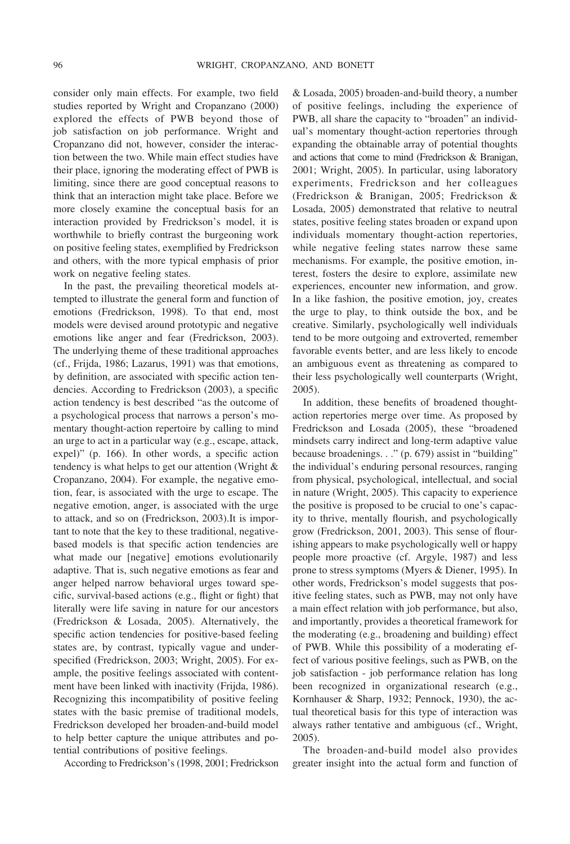consider only main effects. For example, two field studies reported by Wright and Cropanzano (2000) explored the effects of PWB beyond those of job satisfaction on job performance. Wright and Cropanzano did not, however, consider the interaction between the two. While main effect studies have their place, ignoring the moderating effect of PWB is limiting, since there are good conceptual reasons to think that an interaction might take place. Before we more closely examine the conceptual basis for an interaction provided by Fredrickson's model, it is worthwhile to briefly contrast the burgeoning work on positive feeling states, exemplified by Fredrickson and others, with the more typical emphasis of prior work on negative feeling states.

In the past, the prevailing theoretical models attempted to illustrate the general form and function of emotions (Fredrickson, 1998). To that end, most models were devised around prototypic and negative emotions like anger and fear (Fredrickson, 2003). The underlying theme of these traditional approaches (cf., Frijda, 1986; Lazarus, 1991) was that emotions, by definition, are associated with specific action tendencies. According to Fredrickson (2003), a specific action tendency is best described "as the outcome of a psychological process that narrows a person's momentary thought-action repertoire by calling to mind an urge to act in a particular way (e.g., escape, attack, expel)" (p. 166). In other words, a specific action tendency is what helps to get our attention (Wright & Cropanzano, 2004). For example, the negative emotion, fear, is associated with the urge to escape. The negative emotion, anger, is associated with the urge to attack, and so on (Fredrickson, 2003).It is important to note that the key to these traditional, negativebased models is that specific action tendencies are what made our [negative] emotions evolutionarily adaptive. That is, such negative emotions as fear and anger helped narrow behavioral urges toward specific, survival-based actions (e.g., flight or fight) that literally were life saving in nature for our ancestors (Fredrickson & Losada, 2005). Alternatively, the specific action tendencies for positive-based feeling states are, by contrast, typically vague and underspecified (Fredrickson, 2003; Wright, 2005). For example, the positive feelings associated with contentment have been linked with inactivity (Frijda, 1986). Recognizing this incompatibility of positive feeling states with the basic premise of traditional models, Fredrickson developed her broaden-and-build model to help better capture the unique attributes and potential contributions of positive feelings.

According to Fredrickson's (1998, 2001; Fredrickson

& Losada, 2005) broaden-and-build theory, a number of positive feelings, including the experience of PWB, all share the capacity to "broaden" an individual's momentary thought-action repertories through expanding the obtainable array of potential thoughts and actions that come to mind (Fredrickson & Branigan, 2001; Wright, 2005). In particular, using laboratory experiments, Fredrickson and her colleagues (Fredrickson & Branigan, 2005; Fredrickson & Losada, 2005) demonstrated that relative to neutral states, positive feeling states broaden or expand upon individuals momentary thought-action repertories, while negative feeling states narrow these same mechanisms. For example, the positive emotion, interest, fosters the desire to explore, assimilate new experiences, encounter new information, and grow. In a like fashion, the positive emotion, joy, creates the urge to play, to think outside the box, and be creative. Similarly, psychologically well individuals tend to be more outgoing and extroverted, remember favorable events better, and are less likely to encode an ambiguous event as threatening as compared to their less psychologically well counterparts (Wright, 2005).

In addition, these benefits of broadened thoughtaction repertories merge over time. As proposed by Fredrickson and Losada (2005), these "broadened mindsets carry indirect and long-term adaptive value because broadenings. . ." (p. 679) assist in "building" the individual's enduring personal resources, ranging from physical, psychological, intellectual, and social in nature (Wright, 2005). This capacity to experience the positive is proposed to be crucial to one's capacity to thrive, mentally flourish, and psychologically grow (Fredrickson, 2001, 2003). This sense of flourishing appears to make psychologically well or happy people more proactive (cf. Argyle, 1987) and less prone to stress symptoms (Myers & Diener, 1995). In other words, Fredrickson's model suggests that positive feeling states, such as PWB, may not only have a main effect relation with job performance, but also, and importantly, provides a theoretical framework for the moderating (e.g., broadening and building) effect of PWB. While this possibility of a moderating effect of various positive feelings, such as PWB, on the job satisfaction - job performance relation has long been recognized in organizational research (e.g., Kornhauser & Sharp, 1932; Pennock, 1930), the actual theoretical basis for this type of interaction was always rather tentative and ambiguous (cf., Wright, 2005).

The broaden-and-build model also provides greater insight into the actual form and function of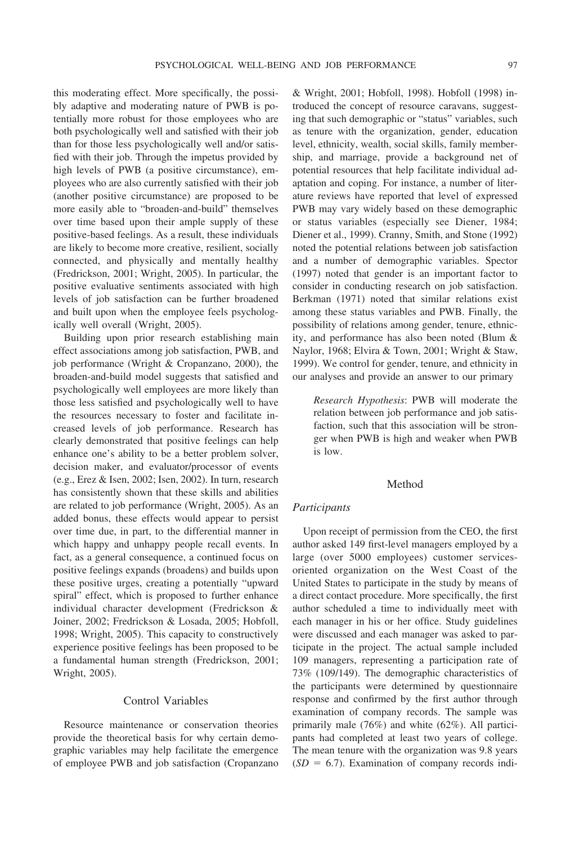this moderating effect. More specifically, the possibly adaptive and moderating nature of PWB is potentially more robust for those employees who are both psychologically well and satisfied with their job than for those less psychologically well and/or satisfied with their job. Through the impetus provided by high levels of PWB (a positive circumstance), employees who are also currently satisfied with their job (another positive circumstance) are proposed to be more easily able to "broaden-and-build" themselves over time based upon their ample supply of these positive-based feelings. As a result, these individuals are likely to become more creative, resilient, socially connected, and physically and mentally healthy (Fredrickson, 2001; Wright, 2005). In particular, the positive evaluative sentiments associated with high levels of job satisfaction can be further broadened and built upon when the employee feels psychologically well overall (Wright, 2005).

Building upon prior research establishing main effect associations among job satisfaction, PWB, and job performance (Wright & Cropanzano, 2000), the broaden-and-build model suggests that satisfied and psychologically well employees are more likely than those less satisfied and psychologically well to have the resources necessary to foster and facilitate increased levels of job performance. Research has clearly demonstrated that positive feelings can help enhance one's ability to be a better problem solver, decision maker, and evaluator/processor of events (e.g., Erez & Isen, 2002; Isen, 2002). In turn, research has consistently shown that these skills and abilities are related to job performance (Wright, 2005). As an added bonus, these effects would appear to persist over time due, in part, to the differential manner in which happy and unhappy people recall events. In fact, as a general consequence, a continued focus on positive feelings expands (broadens) and builds upon these positive urges, creating a potentially "upward spiral" effect, which is proposed to further enhance individual character development (Fredrickson & Joiner, 2002; Fredrickson & Losada, 2005; Hobfoll, 1998; Wright, 2005). This capacity to constructively experience positive feelings has been proposed to be a fundamental human strength (Fredrickson, 2001; Wright, 2005).

## Control Variables

Resource maintenance or conservation theories provide the theoretical basis for why certain demographic variables may help facilitate the emergence of employee PWB and job satisfaction (Cropanzano & Wright, 2001; Hobfoll, 1998). Hobfoll (1998) introduced the concept of resource caravans, suggesting that such demographic or "status" variables, such as tenure with the organization, gender, education level, ethnicity, wealth, social skills, family membership, and marriage, provide a background net of potential resources that help facilitate individual adaptation and coping. For instance, a number of literature reviews have reported that level of expressed PWB may vary widely based on these demographic or status variables (especially see Diener, 1984; Diener et al., 1999). Cranny, Smith, and Stone (1992) noted the potential relations between job satisfaction and a number of demographic variables. Spector (1997) noted that gender is an important factor to consider in conducting research on job satisfaction. Berkman (1971) noted that similar relations exist among these status variables and PWB. Finally, the possibility of relations among gender, tenure, ethnicity, and performance has also been noted (Blum & Naylor, 1968; Elvira & Town, 2001; Wright & Staw, 1999). We control for gender, tenure, and ethnicity in our analyses and provide an answer to our primary

*Research Hypothesis*: PWB will moderate the relation between job performance and job satisfaction, such that this association will be stronger when PWB is high and weaker when PWB is low.

#### Method

#### *Participants*

Upon receipt of permission from the CEO, the first author asked 149 first-level managers employed by a large (over 5000 employees) customer servicesoriented organization on the West Coast of the United States to participate in the study by means of a direct contact procedure. More specifically, the first author scheduled a time to individually meet with each manager in his or her office. Study guidelines were discussed and each manager was asked to participate in the project. The actual sample included 109 managers, representing a participation rate of 73% (109/149). The demographic characteristics of the participants were determined by questionnaire response and confirmed by the first author through examination of company records. The sample was primarily male (76%) and white (62%). All participants had completed at least two years of college. The mean tenure with the organization was 9.8 years  $(SD = 6.7)$ . Examination of company records indi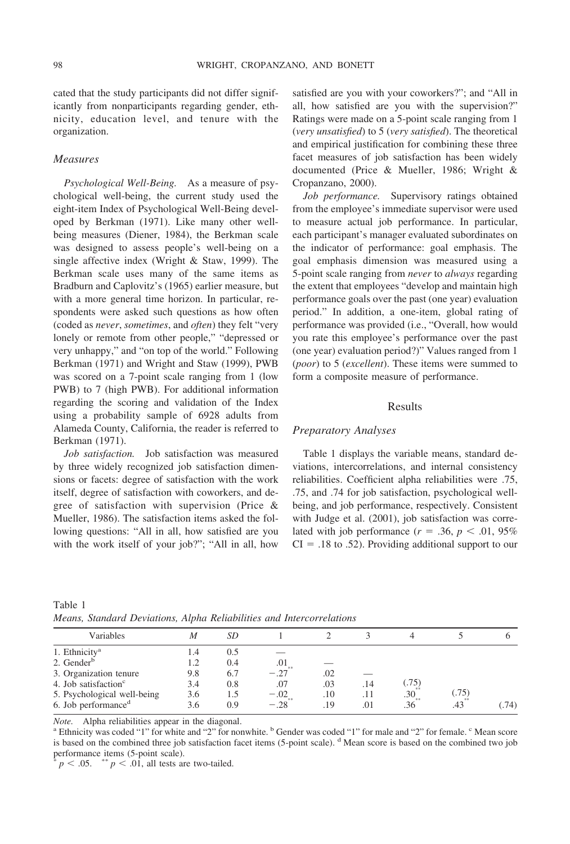cated that the study participants did not differ significantly from nonparticipants regarding gender, ethnicity, education level, and tenure with the organization.

#### *Measures*

Table 1

*Psychological Well-Being.* As a measure of psychological well-being, the current study used the eight-item Index of Psychological Well-Being developed by Berkman (1971). Like many other wellbeing measures (Diener, 1984), the Berkman scale was designed to assess people's well-being on a single affective index (Wright & Staw, 1999). The Berkman scale uses many of the same items as Bradburn and Caplovitz's (1965) earlier measure, but with a more general time horizon. In particular, respondents were asked such questions as how often (coded as *never*, *sometimes*, and *often*) they felt "very lonely or remote from other people," "depressed or very unhappy," and "on top of the world." Following Berkman (1971) and Wright and Staw (1999), PWB was scored on a 7-point scale ranging from 1 (low PWB) to 7 (high PWB). For additional information regarding the scoring and validation of the Index using a probability sample of 6928 adults from Alameda County, California, the reader is referred to Berkman (1971).

*Job satisfaction.* Job satisfaction was measured by three widely recognized job satisfaction dimensions or facets: degree of satisfaction with the work itself, degree of satisfaction with coworkers, and degree of satisfaction with supervision (Price & Mueller, 1986). The satisfaction items asked the following questions: "All in all, how satisfied are you with the work itself of your job?"; "All in all, how satisfied are you with your coworkers?"; and "All in all, how satisfied are you with the supervision?" Ratings were made on a 5-point scale ranging from 1 (*very unsatisfied*) to 5 (*very satisfied*). The theoretical and empirical justification for combining these three facet measures of job satisfaction has been widely documented (Price & Mueller, 1986; Wright & Cropanzano, 2000).

*Job performance.* Supervisory ratings obtained from the employee's immediate supervisor were used to measure actual job performance. In particular, each participant's manager evaluated subordinates on the indicator of performance: goal emphasis. The goal emphasis dimension was measured using a 5-point scale ranging from *never* to *always* regarding the extent that employees "develop and maintain high performance goals over the past (one year) evaluation period." In addition, a one-item, global rating of performance was provided (i.e., "Overall, how would you rate this employee's performance over the past (one year) evaluation period?)" Values ranged from 1 (*poor*) to 5 (*excellent*). These items were summed to form a composite measure of performance.

#### Results

## *Preparatory Analyses*

Table 1 displays the variable means, standard deviations, intercorrelations, and internal consistency reliabilities. Coefficient alpha reliabilities were .75, .75, and .74 for job satisfaction, psychological wellbeing, and job performance, respectively. Consistent with Judge et al. (2001), job satisfaction was correlated with job performance  $(r = .36, p < .01, 95\%$  $CI = .18$  to .52). Providing additional support to our

|                           | Means, Standard Deviations, Alpha Retiabilities and Intercorrelations |     |     |             |     |     |            |       |       |
|---------------------------|-----------------------------------------------------------------------|-----|-----|-------------|-----|-----|------------|-------|-------|
|                           | Variables                                                             | M   | SD  |             |     |     |            |       |       |
| 1. Ethnicity <sup>a</sup> |                                                                       | 1.4 | 0.5 |             |     |     |            |       |       |
| 2. Gender <sup>b</sup>    |                                                                       | 1.2 | 0.4 | $.01$       |     |     |            |       |       |
|                           | 3. Organization tenure                                                | 9.8 | 6.7 | $-.27$      | .02 |     |            |       |       |
|                           | 4. Job satisfaction <sup>c</sup>                                      | 3.4 | 0.8 | .07         | .03 | .14 | (.75)      |       |       |
|                           | 5. Psychological well-being                                           | 3.6 | 1.5 | $-.02_{**}$ | .10 | .11 | $.30_{**}$ | (.75) |       |
|                           | 6. Job performance <sup>d</sup>                                       | 3.6 | 0.9 | $-.28$      | .19 | .01 | .36        | .43   | (.74) |

*Means, Standard Deviations, Alpha Reliabilities and Intercorrelations*

*Note.* Alpha reliabilities appear in the diagonal.<br><sup>a</sup> Ethnicity was coded "1" for white and "2" for nonwhite. <sup>b</sup> Gender was coded "1" for male and "2" for female. <sup>c</sup> Mean score is based on the combined three job satisfaction facet items (5-point scale). <sup>d</sup> Mean score is based on the combined two job performance items (5-point scale).

 $\frac{1}{p}$   $p$   $\leq$  .05.  $\frac{1}{p}$   $\leq$  .01, all tests are two-tailed.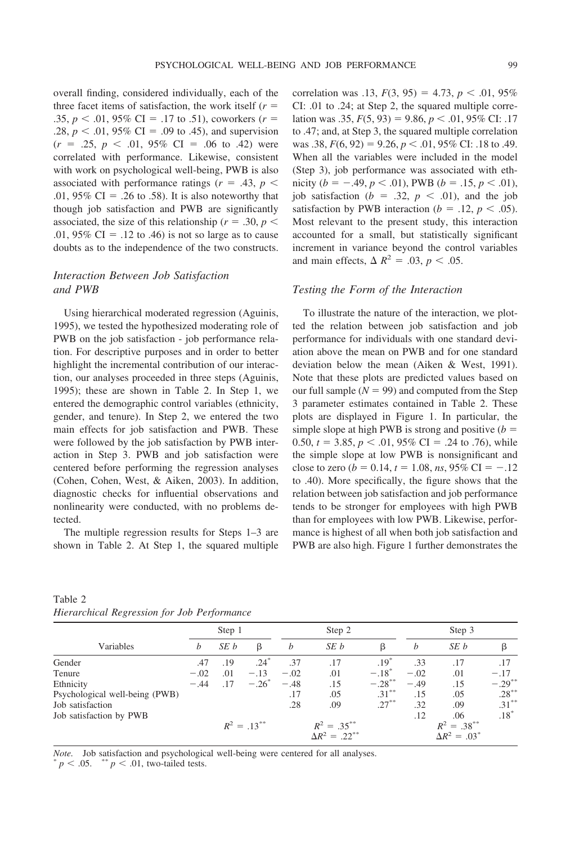overall finding, considered individually, each of the three facet items of satisfaction, the work itself  $(r =$ .35,  $p < .01$ , 95% CI = .17 to .51), coworkers ( $r =$ .28,  $p < .01$ , 95% CI = .09 to .45), and supervision  $(r = .25, p < .01, 95\% \text{ CI} = .06 \text{ to } .42) \text{ were}$ correlated with performance. Likewise, consistent with work on psychological well-being, PWB is also associated with performance ratings ( $r = .43$ ,  $p <$ .01, 95% CI = .26 to .58). It is also noteworthy that though job satisfaction and PWB are significantly associated, the size of this relationship ( $r = .30, p <$ .01, 95% CI = .12 to .46) is not so large as to cause doubts as to the independence of the two constructs.

## *Interaction Between Job Satisfaction and PWB*

Using hierarchical moderated regression (Aguinis, 1995), we tested the hypothesized moderating role of PWB on the job satisfaction - job performance relation. For descriptive purposes and in order to better highlight the incremental contribution of our interaction, our analyses proceeded in three steps (Aguinis, 1995); these are shown in Table 2. In Step 1, we entered the demographic control variables (ethnicity, gender, and tenure). In Step 2, we entered the two main effects for job satisfaction and PWB. These were followed by the job satisfaction by PWB interaction in Step 3. PWB and job satisfaction were centered before performing the regression analyses (Cohen, Cohen, West, & Aiken, 2003). In addition, diagnostic checks for influential observations and nonlinearity were conducted, with no problems detected.

The multiple regression results for Steps 1–3 are shown in Table 2. At Step 1, the squared multiple

correlation was .13,  $F(3, 95) = 4.73$ ,  $p < .01$ , 95% CI: .01 to .24; at Step 2, the squared multiple correlation was  $.35, F(5, 93) = 9.86, p < .01, 95\% \text{ CI: } .17$ to .47; and, at Step 3, the squared multiple correlation was .38,  $F(6, 92) = 9.26$ ,  $p < .01$ , 95% CI: .18 to .49. When all the variables were included in the model (Step 3), job performance was associated with ethnicity ( $b = -.49, p < .01$ ), PWB ( $b = .15, p < .01$ ), job satisfaction ( $b = .32$ ,  $p < .01$ ), and the job satisfaction by PWB interaction ( $b = .12$ ,  $p < .05$ ). Most relevant to the present study, this interaction accounted for a small, but statistically significant increment in variance beyond the control variables and main effects,  $\Delta R^2 = .03$ ,  $p < .05$ .

## *Testing the Form of the Interaction*

To illustrate the nature of the interaction, we plotted the relation between job satisfaction and job performance for individuals with one standard deviation above the mean on PWB and for one standard deviation below the mean (Aiken & West, 1991). Note that these plots are predicted values based on our full sample  $(N = 99)$  and computed from the Step 3 parameter estimates contained in Table 2. These plots are displayed in Figure 1. In particular, the simple slope at high PWB is strong and positive  $(b =$ 0.50,  $t = 3.85$ ,  $p < .01$ , 95% CI = .24 to .76), while the simple slope at low PWB is nonsignificant and close to zero ( $b = 0.14$ ,  $t = 1.08$ , *ns*, 95% CI =  $-.12$ to .40). More specifically, the figure shows that the relation between job satisfaction and job performance tends to be stronger for employees with high PWB than for employees with low PWB. Likewise, performance is highest of all when both job satisfaction and PWB are also high. Figure 1 further demonstrates the

|                                | Step 1 |      |                  | Step 2 |                         |           | Step 3 |                      |           |
|--------------------------------|--------|------|------------------|--------|-------------------------|-----------|--------|----------------------|-----------|
| Variables                      | b      | SE b | ß                | b      | SE b                    | β         | b      | SE b                 | β         |
| Gender                         | .47    | .19  | $.24*$           | .37    | .17                     | $.19^{3}$ | .33    | .17                  | .17       |
| Tenure                         | $-.02$ | .01  | $-.13$           | $-.02$ | .01                     | $-.18^*$  | $-.02$ | .01                  | $-.17$    |
| Ethnicity                      | $-.44$ | .17  | $-.26^*$         | $-.48$ | .15                     | $-.28***$ | $-.49$ | .15                  | $-.29***$ |
| Psychological well-being (PWB) |        |      |                  | .17    | .05                     | $.31***$  | .15    | .05                  | $.28***$  |
| Job satisfaction               |        |      |                  | .28    | .09                     | $.27***$  | .32    | .09                  | $.31***$  |
| Job satisfaction by PWB        |        |      |                  |        |                         |           | .12    | .06                  | $.18*$    |
|                                |        |      | $R^2 = .13^{**}$ |        | $R^2 = .35^{**}$        |           |        | $R^2 = .38^{**}$     |           |
|                                |        |      |                  |        | $\Delta R^2 = .22^{**}$ |           |        | $\Delta R^2 = .03^*$ |           |

Table 2 *Hierarchical Regression for Job Performance*

*Note.* Job satisfaction and psychological well-being were centered for all analyses.

 $< .05.$  \*\*  $p < .01$ , two-tailed tests.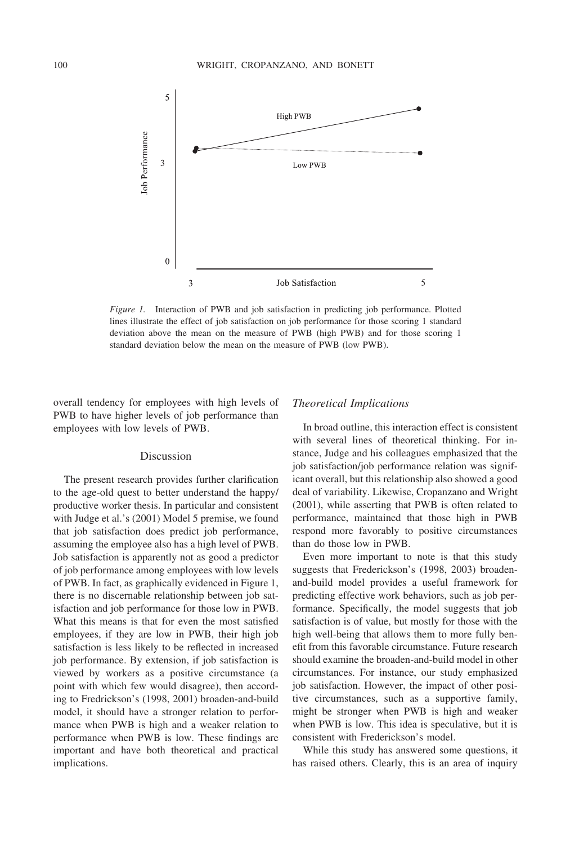

*Figure 1.* Interaction of PWB and job satisfaction in predicting job performance. Plotted lines illustrate the effect of job satisfaction on job performance for those scoring 1 standard deviation above the mean on the measure of PWB (high PWB) and for those scoring 1 standard deviation below the mean on the measure of PWB (low PWB).

overall tendency for employees with high levels of PWB to have higher levels of job performance than employees with low levels of PWB.

## Discussion

The present research provides further clarification to the age-old quest to better understand the happy/ productive worker thesis. In particular and consistent with Judge et al.'s (2001) Model 5 premise, we found that job satisfaction does predict job performance, assuming the employee also has a high level of PWB. Job satisfaction is apparently not as good a predictor of job performance among employees with low levels of PWB. In fact, as graphically evidenced in Figure 1, there is no discernable relationship between job satisfaction and job performance for those low in PWB. What this means is that for even the most satisfied employees, if they are low in PWB, their high job satisfaction is less likely to be reflected in increased job performance. By extension, if job satisfaction is viewed by workers as a positive circumstance (a point with which few would disagree), then according to Fredrickson's (1998, 2001) broaden-and-build model, it should have a stronger relation to performance when PWB is high and a weaker relation to performance when PWB is low. These findings are important and have both theoretical and practical implications.

#### *Theoretical Implications*

In broad outline, this interaction effect is consistent with several lines of theoretical thinking. For instance, Judge and his colleagues emphasized that the job satisfaction/job performance relation was significant overall, but this relationship also showed a good deal of variability. Likewise, Cropanzano and Wright (2001), while asserting that PWB is often related to performance, maintained that those high in PWB respond more favorably to positive circumstances than do those low in PWB.

Even more important to note is that this study suggests that Frederickson's (1998, 2003) broadenand-build model provides a useful framework for predicting effective work behaviors, such as job performance. Specifically, the model suggests that job satisfaction is of value, but mostly for those with the high well-being that allows them to more fully benefit from this favorable circumstance. Future research should examine the broaden-and-build model in other circumstances. For instance, our study emphasized job satisfaction. However, the impact of other positive circumstances, such as a supportive family, might be stronger when PWB is high and weaker when PWB is low. This idea is speculative, but it is consistent with Frederickson's model.

While this study has answered some questions, it has raised others. Clearly, this is an area of inquiry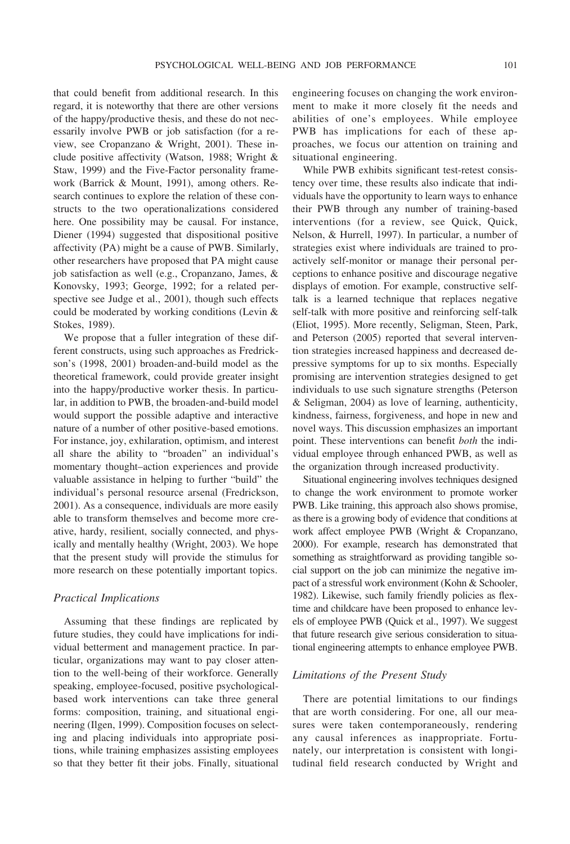that could benefit from additional research. In this regard, it is noteworthy that there are other versions of the happy/productive thesis, and these do not necessarily involve PWB or job satisfaction (for a review, see Cropanzano & Wright, 2001). These include positive affectivity (Watson, 1988; Wright & Staw, 1999) and the Five-Factor personality framework (Barrick & Mount, 1991), among others. Research continues to explore the relation of these constructs to the two operationalizations considered here. One possibility may be causal. For instance, Diener (1994) suggested that dispositional positive affectivity (PA) might be a cause of PWB. Similarly, other researchers have proposed that PA might cause job satisfaction as well (e.g., Cropanzano, James, & Konovsky, 1993; George, 1992; for a related perspective see Judge et al., 2001), though such effects could be moderated by working conditions (Levin & Stokes, 1989).

We propose that a fuller integration of these different constructs, using such approaches as Fredrickson's (1998, 2001) broaden-and-build model as the theoretical framework, could provide greater insight into the happy/productive worker thesis. In particular, in addition to PWB, the broaden-and-build model would support the possible adaptive and interactive nature of a number of other positive-based emotions. For instance, joy, exhilaration, optimism, and interest all share the ability to "broaden" an individual's momentary thought–action experiences and provide valuable assistance in helping to further "build" the individual's personal resource arsenal (Fredrickson, 2001). As a consequence, individuals are more easily able to transform themselves and become more creative, hardy, resilient, socially connected, and physically and mentally healthy (Wright, 2003). We hope that the present study will provide the stimulus for more research on these potentially important topics.

## *Practical Implications*

Assuming that these findings are replicated by future studies, they could have implications for individual betterment and management practice. In particular, organizations may want to pay closer attention to the well-being of their workforce. Generally speaking, employee-focused, positive psychologicalbased work interventions can take three general forms: composition, training, and situational engineering (Ilgen, 1999). Composition focuses on selecting and placing individuals into appropriate positions, while training emphasizes assisting employees so that they better fit their jobs. Finally, situational

engineering focuses on changing the work environment to make it more closely fit the needs and abilities of one's employees. While employee PWB has implications for each of these approaches, we focus our attention on training and situational engineering.

While PWB exhibits significant test-retest consistency over time, these results also indicate that individuals have the opportunity to learn ways to enhance their PWB through any number of training-based interventions (for a review, see Quick, Quick, Nelson, & Hurrell, 1997). In particular, a number of strategies exist where individuals are trained to proactively self-monitor or manage their personal perceptions to enhance positive and discourage negative displays of emotion. For example, constructive selftalk is a learned technique that replaces negative self-talk with more positive and reinforcing self-talk (Eliot, 1995). More recently, Seligman, Steen, Park, and Peterson (2005) reported that several intervention strategies increased happiness and decreased depressive symptoms for up to six months. Especially promising are intervention strategies designed to get individuals to use such signature strengths (Peterson & Seligman, 2004) as love of learning, authenticity, kindness, fairness, forgiveness, and hope in new and novel ways. This discussion emphasizes an important point. These interventions can benefit *both* the individual employee through enhanced PWB, as well as the organization through increased productivity.

Situational engineering involves techniques designed to change the work environment to promote worker PWB. Like training, this approach also shows promise, as there is a growing body of evidence that conditions at work affect employee PWB (Wright & Cropanzano, 2000). For example, research has demonstrated that something as straightforward as providing tangible social support on the job can minimize the negative impact of a stressful work environment (Kohn & Schooler, 1982). Likewise, such family friendly policies as flextime and childcare have been proposed to enhance levels of employee PWB (Quick et al., 1997). We suggest that future research give serious consideration to situational engineering attempts to enhance employee PWB.

## *Limitations of the Present Study*

There are potential limitations to our findings that are worth considering. For one, all our measures were taken contemporaneously, rendering any causal inferences as inappropriate. Fortunately, our interpretation is consistent with longitudinal field research conducted by Wright and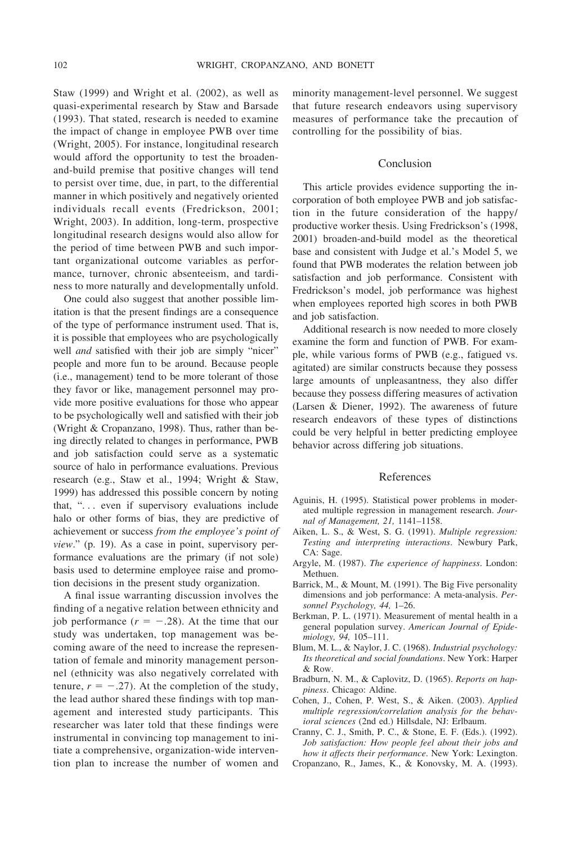Staw (1999) and Wright et al. (2002), as well as quasi-experimental research by Staw and Barsade (1993). That stated, research is needed to examine the impact of change in employee PWB over time (Wright, 2005). For instance, longitudinal research would afford the opportunity to test the broadenand-build premise that positive changes will tend to persist over time, due, in part, to the differential manner in which positively and negatively oriented individuals recall events (Fredrickson, 2001; Wright, 2003). In addition, long-term, prospective longitudinal research designs would also allow for the period of time between PWB and such important organizational outcome variables as performance, turnover, chronic absenteeism, and tardiness to more naturally and developmentally unfold.

One could also suggest that another possible limitation is that the present findings are a consequence of the type of performance instrument used. That is, it is possible that employees who are psychologically well *and* satisfied with their job are simply "nicer" people and more fun to be around. Because people (i.e., management) tend to be more tolerant of those they favor or like, management personnel may provide more positive evaluations for those who appear to be psychologically well and satisfied with their job (Wright & Cropanzano, 1998). Thus, rather than being directly related to changes in performance, PWB and job satisfaction could serve as a systematic source of halo in performance evaluations. Previous research (e.g., Staw et al., 1994; Wright & Staw, 1999) has addressed this possible concern by noting that, ". . . even if supervisory evaluations include halo or other forms of bias, they are predictive of achievement or success *from the employee's point of view*." (p. 19). As a case in point, supervisory performance evaluations are the primary (if not sole) basis used to determine employee raise and promotion decisions in the present study organization.

A final issue warranting discussion involves the finding of a negative relation between ethnicity and job performance  $(r = -.28)$ . At the time that our study was undertaken, top management was becoming aware of the need to increase the representation of female and minority management personnel (ethnicity was also negatively correlated with tenure,  $r = -.27$ ). At the completion of the study, the lead author shared these findings with top management and interested study participants. This researcher was later told that these findings were instrumental in convincing top management to initiate a comprehensive, organization-wide intervention plan to increase the number of women and minority management-level personnel. We suggest that future research endeavors using supervisory measures of performance take the precaution of controlling for the possibility of bias.

## Conclusion

This article provides evidence supporting the incorporation of both employee PWB and job satisfaction in the future consideration of the happy/ productive worker thesis. Using Fredrickson's (1998, 2001) broaden-and-build model as the theoretical base and consistent with Judge et al.'s Model 5, we found that PWB moderates the relation between job satisfaction and job performance. Consistent with Fredrickson's model, job performance was highest when employees reported high scores in both PWB and job satisfaction.

Additional research is now needed to more closely examine the form and function of PWB. For example, while various forms of PWB (e.g., fatigued vs. agitated) are similar constructs because they possess large amounts of unpleasantness, they also differ because they possess differing measures of activation (Larsen & Diener, 1992). The awareness of future research endeavors of these types of distinctions could be very helpful in better predicting employee behavior across differing job situations.

#### References

- Aguinis, H. (1995). Statistical power problems in moderated multiple regression in management research. *Journal of Management, 21,* 1141–1158.
- Aiken, L. S., & West, S. G. (1991). *Multiple regression: Testing and interpreting interactions*. Newbury Park, CA: Sage.
- Argyle, M. (1987). *The experience of happiness*. London: Methuen.
- Barrick, M., & Mount, M. (1991). The Big Five personality dimensions and job performance: A meta-analysis. *Personnel Psychology, 44,* 1–26.
- Berkman, P. L. (1971). Measurement of mental health in a general population survey. *American Journal of Epidemiology, 94,* 105–111.
- Blum, M. L., & Naylor, J. C. (1968). *Industrial psychology: Its theoretical and social foundations*. New York: Harper & Row.
- Bradburn, N. M., & Caplovitz, D. (1965). *Reports on happiness*. Chicago: Aldine.
- Cohen, J., Cohen, P. West, S., & Aiken. (2003). *Applied multiple regression/correlation analysis for the behavioral sciences* (2nd ed.) Hillsdale, NJ: Erlbaum.
- Cranny, C. J., Smith, P. C., & Stone, E. F. (Eds.). (1992). *Job satisfaction: How people feel about their jobs and how it affects their performance*. New York: Lexington.
- Cropanzano, R., James, K., & Konovsky, M. A. (1993).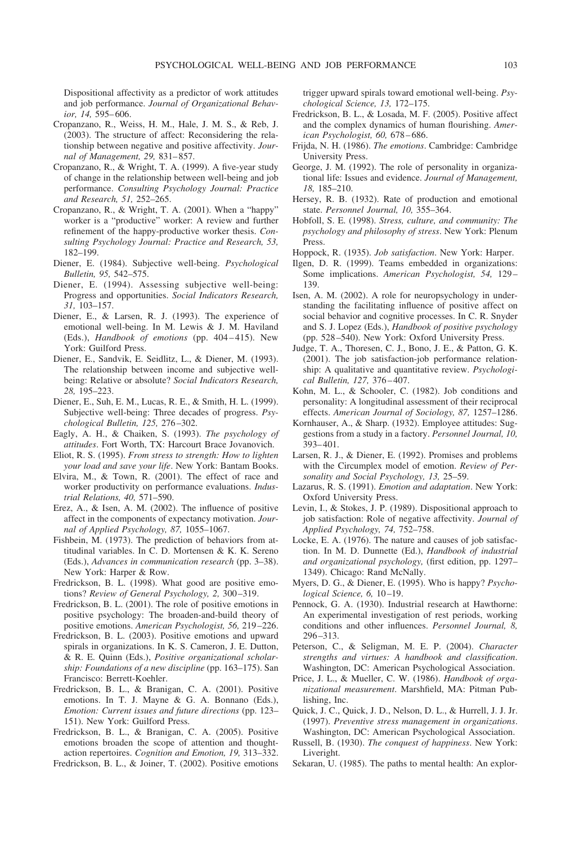Dispositional affectivity as a predictor of work attitudes and job performance. *Journal of Organizational Behavior, 14,* 595– 606.

- Cropanzano, R., Weiss, H. M., Hale, J. M. S., & Reb, J. (2003). The structure of affect: Reconsidering the relationship between negative and positive affectivity. *Journal of Management, 29,* 831– 857.
- Cropanzano, R., & Wright, T. A. (1999). A five-year study of change in the relationship between well-being and job performance. *Consulting Psychology Journal: Practice and Research, 51,* 252–265.
- Cropanzano, R., & Wright, T. A. (2001). When a "happy" worker is a "productive" worker: A review and further refinement of the happy-productive worker thesis. *Consulting Psychology Journal: Practice and Research, 53,* 182–199.
- Diener, E. (1984). Subjective well-being. *Psychological Bulletin, 95,* 542–575.
- Diener, E. (1994). Assessing subjective well-being: Progress and opportunities. *Social Indicators Research, 31,* 103–157.
- Diener, E., & Larsen, R. J. (1993). The experience of emotional well-being. In M. Lewis & J. M. Haviland (Eds.), *Handbook of emotions* (pp. 404-415). New York: Guilford Press.
- Diener, E., Sandvik, E. Seidlitz, L., & Diener, M. (1993). The relationship between income and subjective wellbeing: Relative or absolute? *Social Indicators Research, 28,* 195–223.
- Diener, E., Suh, E. M., Lucas, R. E., & Smith, H. L. (1999). Subjective well-being: Three decades of progress. *Psychological Bulletin, 125,* 276 –302.
- Eagly, A. H., & Chaiken, S. (1993). *The psychology of attitudes*. Fort Worth, TX: Harcourt Brace Jovanovich.
- Eliot, R. S. (1995). *From stress to strength: How to lighten your load and save your life*. New York: Bantam Books.
- Elvira, M., & Town, R. (2001). The effect of race and worker productivity on performance evaluations. *Industrial Relations, 40,* 571–590.
- Erez, A., & Isen, A. M. (2002). The influence of positive affect in the components of expectancy motivation. *Journal of Applied Psychology, 87,* 1055–1067.
- Fishbein, M. (1973). The prediction of behaviors from attitudinal variables. In C. D. Mortensen & K. K. Sereno (Eds.), *Advances in communication research* (pp. 3–38). New York: Harper & Row.
- Fredrickson, B. L. (1998). What good are positive emotions? *Review of General Psychology, 2,* 300 –319.
- Fredrickson, B. L. (2001). The role of positive emotions in positive psychology: The broaden-and-build theory of positive emotions. *American Psychologist, 56,* 219 –226.
- Fredrickson, B. L. (2003). Positive emotions and upward spirals in organizations. In K. S. Cameron, J. E. Dutton, & R. E. Quinn (Eds.), *Positive organizational scholarship: Foundations of a new discipline* (pp. 163–175). San Francisco: Berrett-Koehler.
- Fredrickson, B. L., & Branigan, C. A. (2001). Positive emotions. In T. J. Mayne & G. A. Bonnano (Eds.), *Emotion: Current issues and future directions* (pp. 123– 151). New York: Guilford Press.
- Fredrickson, B. L., & Branigan, C. A. (2005). Positive emotions broaden the scope of attention and thoughtaction repertoires. *Cognition and Emotion, 19,* 313–332.
- Fredrickson, B. L., & Joiner, T. (2002). Positive emotions

trigger upward spirals toward emotional well-being. *Psychological Science, 13,* 172–175.

- Fredrickson, B. L., & Losada, M. F. (2005). Positive affect and the complex dynamics of human flourishing. *American Psychologist, 60,* 678 – 686.
- Frijda, N. H. (1986). *The emotions*. Cambridge: Cambridge University Press.
- George, J. M. (1992). The role of personality in organizational life: Issues and evidence. *Journal of Management, 18,* 185–210.
- Hersey, R. B. (1932). Rate of production and emotional state. *Personnel Journal, 10,* 355–364.
- Hobfoll, S. E. (1998). *Stress, culture, and community: The psychology and philosophy of stress*. New York: Plenum Press.
- Hoppock, R. (1935). *Job satisfaction*. New York: Harper.
- Ilgen, D. R. (1999). Teams embedded in organizations: Some implications. *American Psychologist, 54,* 129 – 139.
- Isen, A. M. (2002). A role for neuropsychology in understanding the facilitating influence of positive affect on social behavior and cognitive processes. In C. R. Snyder and S. J. Lopez (Eds.), *Handbook of positive psychology* (pp. 528 –540). New York: Oxford University Press.
- Judge, T. A., Thoresen, C. J., Bono, J. E., & Patton, G. K. (2001). The job satisfaction-job performance relationship: A qualitative and quantitative review. *Psychological Bulletin, 127,* 376 – 407.
- Kohn, M. L., & Schooler, C. (1982). Job conditions and personality: A longitudinal assessment of their reciprocal effects. *American Journal of Sociology, 87,* 1257–1286.
- Kornhauser, A., & Sharp. (1932). Employee attitudes: Suggestions from a study in a factory. *Personnel Journal, 10,* 393– 401.
- Larsen, R. J., & Diener, E. (1992). Promises and problems with the Circumplex model of emotion. *Review of Personality and Social Psychology, 13,* 25–59.
- Lazarus, R. S. (1991). *Emotion and adaptation*. New York: Oxford University Press.
- Levin, I., & Stokes, J. P. (1989). Dispositional approach to job satisfaction: Role of negative affectivity. *Journal of Applied Psychology, 74,* 752–758.
- Locke, E. A. (1976). The nature and causes of job satisfaction. In M. D. Dunnette (Ed.), *Handbook of industrial and organizational psychology,* (first edition, pp. 1297– 1349). Chicago: Rand McNally.
- Myers, D. G., & Diener, E. (1995). Who is happy? *Psychological Science, 6,* 10 –19.
- Pennock, G. A. (1930). Industrial research at Hawthorne: An experimental investigation of rest periods, working conditions and other influences. *Personnel Journal, 8,* 296 –313.
- Peterson, C., & Seligman, M. E. P. (2004). *Character strengths and virtues: A handbook and classification*. Washington, DC: American Psychological Association.
- Price, J. L., & Mueller, C. W. (1986). *Handbook of organizational measurement*. Marshfield, MA: Pitman Publishing, Inc.
- Quick, J. C., Quick, J. D., Nelson, D. L., & Hurrell, J. J. Jr. (1997). *Preventive stress management in organizations*. Washington, DC: American Psychological Association.
- Russell, B. (1930). *The conquest of happiness*. New York: Liveright.
- Sekaran, U. (1985). The paths to mental health: An explor-